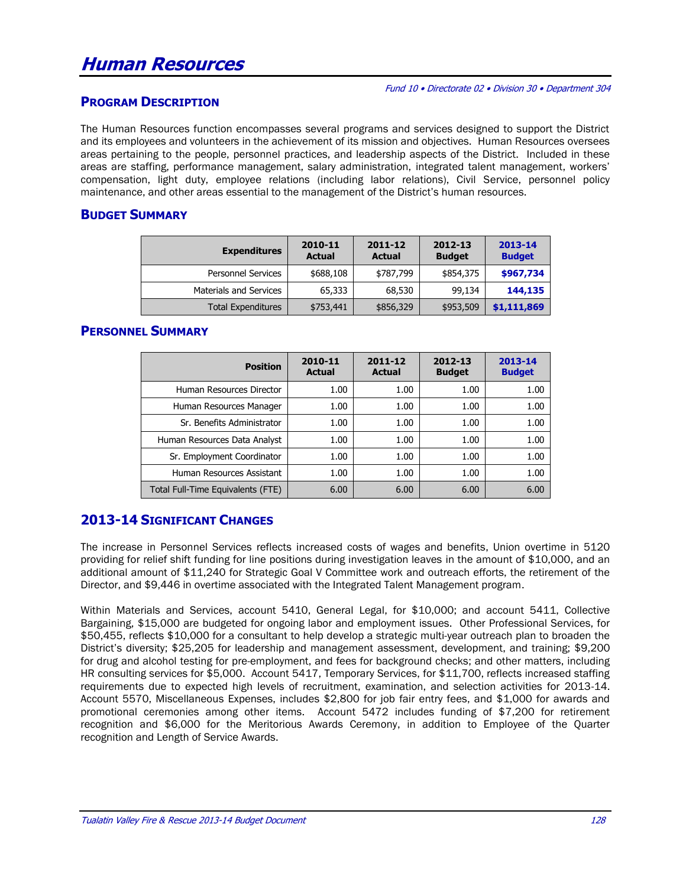#### Fund 10 • Directorate 02 • Division 30 • Department 304

#### **PROGRAM DESCRIPTION**

The Human Resources function encompasses several programs and services designed to support the District and its employees and volunteers in the achievement of its mission and objectives. Human Resources oversees areas pertaining to the people, personnel practices, and leadership aspects of the District. Included in these areas are staffing, performance management, salary administration, integrated talent management, workers' compensation, light duty, employee relations (including labor relations), Civil Service, personnel policy maintenance, and other areas essential to the management of the District's human resources.

#### **BUDGET SUMMARY**

| <b>Expenditures</b>           | 2010-11<br><b>Actual</b> | 2011-12<br><b>Actual</b> | 2012-13<br><b>Budget</b> | 2013-14<br><b>Budget</b> |
|-------------------------------|--------------------------|--------------------------|--------------------------|--------------------------|
| <b>Personnel Services</b>     | \$688,108                | \$787,799                | \$854,375                | \$967,734                |
| <b>Materials and Services</b> | 65,333                   | 68,530                   | 99,134                   | 144,135                  |
| <b>Total Expenditures</b>     | \$753,441                | \$856,329                | \$953,509                | \$1,111,869              |

#### **PERSONNEL SUMMARY**

| <b>Position</b>                   | 2010-11<br><b>Actual</b> | 2011-12<br><b>Actual</b> | 2012-13<br><b>Budget</b> | 2013-14<br><b>Budget</b> |
|-----------------------------------|--------------------------|--------------------------|--------------------------|--------------------------|
| Human Resources Director          | 1.00                     | 1.00                     | 1.00                     | 1.00                     |
| Human Resources Manager           | 1.00                     | 1.00                     | 1.00                     | 1.00                     |
| Sr. Benefits Administrator        | 1.00                     | 1.00                     | 1.00                     | 1.00                     |
| Human Resources Data Analyst      | 1.00                     | 1.00                     | 1.00                     | 1.00                     |
| Sr. Employment Coordinator        | 1.00                     | 1.00                     | 1.00                     | 1.00                     |
| Human Resources Assistant         | 1.00                     | 1.00                     | 1.00                     | 1.00                     |
| Total Full-Time Equivalents (FTE) | 6.00                     | 6.00                     | 6.00                     | 6.00                     |

## **2013-14 SIGNIFICANT CHANGES**

The increase in Personnel Services reflects increased costs of wages and benefits, Union overtime in 5120 providing for relief shift funding for line positions during investigation leaves in the amount of \$10,000, and an additional amount of \$11,240 for Strategic Goal V Committee work and outreach efforts, the retirement of the Director, and \$9,446 in overtime associated with the Integrated Talent Management program.

Within Materials and Services, account 5410, General Legal, for \$10,000; and account 5411, Collective Bargaining, \$15,000 are budgeted for ongoing labor and employment issues. Other Professional Services, for \$50,455, reflects \$10,000 for a consultant to help develop a strategic multi-year outreach plan to broaden the District's diversity; \$25,205 for leadership and management assessment, development, and training; \$9,200 for drug and alcohol testing for pre-employment, and fees for background checks; and other matters, including HR consulting services for \$5,000. Account 5417, Temporary Services, for \$11,700, reflects increased staffing requirements due to expected high levels of recruitment, examination, and selection activities for 2013-14. Account 5570, Miscellaneous Expenses, includes \$2,800 for job fair entry fees, and \$1,000 for awards and promotional ceremonies among other items. Account 5472 includes funding of \$7,200 for retirement recognition and \$6,000 for the Meritorious Awards Ceremony, in addition to Employee of the Quarter recognition and Length of Service Awards.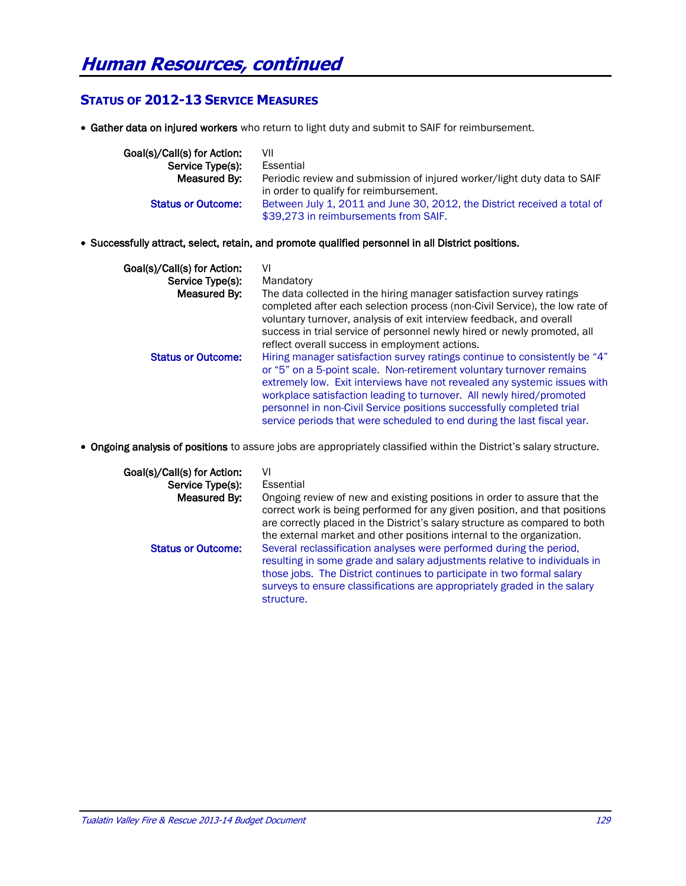## **STATUS OF 2012-13 SERVICE MEASURES**

Gather data on injured workers who return to light duty and submit to SAIF for reimbursement.

| Goal(s)/Call(s) for Action: | VII                                                                                                                |
|-----------------------------|--------------------------------------------------------------------------------------------------------------------|
| Service Type(s):            | Essential                                                                                                          |
| Measured By:                | Periodic review and submission of injured worker/light duty data to SAIF<br>in order to qualify for reimbursement. |
| <b>Status or Outcome:</b>   | Between July 1, 2011 and June 30, 2012, the District received a total of<br>\$39.273 in reimbursements from SAIF.  |

Successfully attract, select, retain, and promote qualified personnel in all District positions.

| Goal(s)/Call(s) for Action: | VI                                                                                                                                                                                                                                                                                                                                                                                                                                                          |
|-----------------------------|-------------------------------------------------------------------------------------------------------------------------------------------------------------------------------------------------------------------------------------------------------------------------------------------------------------------------------------------------------------------------------------------------------------------------------------------------------------|
| Service Type(s):            | Mandatory                                                                                                                                                                                                                                                                                                                                                                                                                                                   |
| Measured By:                | The data collected in the hiring manager satisfaction survey ratings<br>completed after each selection process (non-Civil Service), the low rate of<br>voluntary turnover, analysis of exit interview feedback, and overall<br>success in trial service of personnel newly hired or newly promoted, all<br>reflect overall success in employment actions.                                                                                                   |
| <b>Status or Outcome:</b>   | Hiring manager satisfaction survey ratings continue to consistently be "4"<br>or "5" on a 5-point scale. Non-retirement voluntary turnover remains<br>extremely low. Exit interviews have not revealed any systemic issues with<br>workplace satisfaction leading to turnover. All newly hired/promoted<br>personnel in non-Civil Service positions successfully completed trial<br>service periods that were scheduled to end during the last fiscal year. |

Ongoing analysis of positions to assure jobs are appropriately classified within the District's salary structure.

| Goal(s)/Call(s) for Action:<br>Service Type(s):<br>Measured By: | VI<br>Essential<br>Ongoing review of new and existing positions in order to assure that the<br>correct work is being performed for any given position, and that positions<br>are correctly placed in the District's salary structure as compared to both<br>the external market and other positions internal to the organization. |
|-----------------------------------------------------------------|-----------------------------------------------------------------------------------------------------------------------------------------------------------------------------------------------------------------------------------------------------------------------------------------------------------------------------------|
| <b>Status or Outcome:</b>                                       | Several reclassification analyses were performed during the period,<br>resulting in some grade and salary adjustments relative to individuals in<br>those jobs. The District continues to participate in two formal salary<br>surveys to ensure classifications are appropriately graded in the salary<br>structure.              |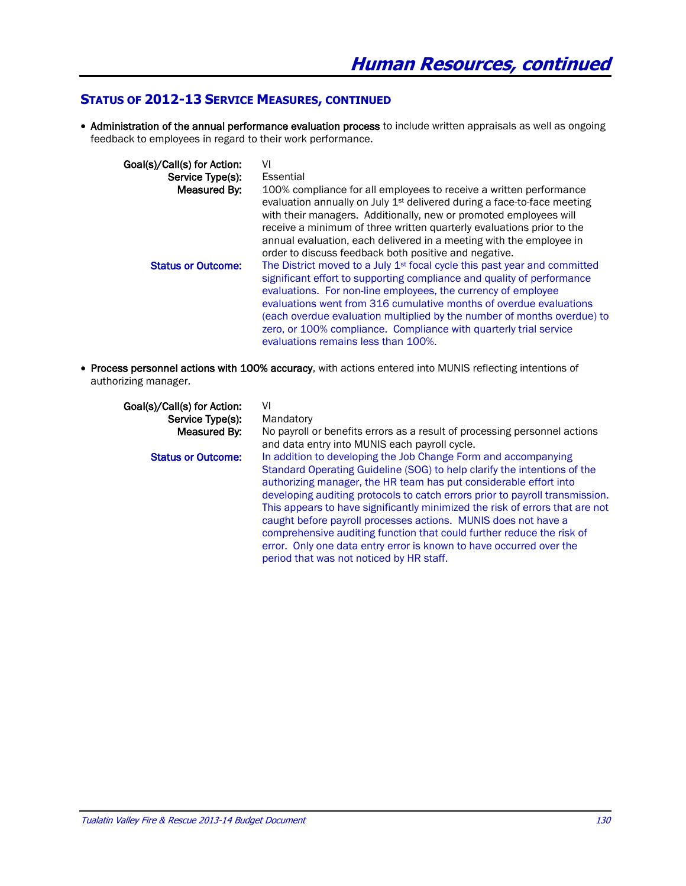## **STATUS OF 2012-13 SERVICE MEASURES, CONTINUED**

• Administration of the annual performance evaluation process to include written appraisals as well as ongoing feedback to employees in regard to their work performance.

| Goal(s)/Call(s) for Action: | VI                                                                                                                                                                                                                                                                                                                                                                                                                                                                                            |
|-----------------------------|-----------------------------------------------------------------------------------------------------------------------------------------------------------------------------------------------------------------------------------------------------------------------------------------------------------------------------------------------------------------------------------------------------------------------------------------------------------------------------------------------|
| Service Type(s):            | Essential                                                                                                                                                                                                                                                                                                                                                                                                                                                                                     |
| Measured By:                | 100% compliance for all employees to receive a written performance<br>evaluation annually on July 1 <sup>st</sup> delivered during a face-to-face meeting<br>with their managers. Additionally, new or promoted employees will<br>receive a minimum of three written quarterly evaluations prior to the<br>annual evaluation, each delivered in a meeting with the employee in<br>order to discuss feedback both positive and negative.                                                       |
| <b>Status or Outcome:</b>   | The District moved to a July 1 <sup>st</sup> focal cycle this past year and committed<br>significant effort to supporting compliance and quality of performance<br>evaluations. For non-line employees, the currency of employee<br>evaluations went from 316 cumulative months of overdue evaluations<br>(each overdue evaluation multiplied by the number of months overdue) to<br>zero, or 100% compliance. Compliance with quarterly trial service<br>evaluations remains less than 100%. |

 Process personnel actions with 100% accuracy, with actions entered into MUNIS reflecting intentions of authorizing manager.

| Goal(s)/Call(s) for Action: | VI                                                                           |
|-----------------------------|------------------------------------------------------------------------------|
| Service Type(s):            | Mandatory                                                                    |
| Measured By:                | No payroll or benefits errors as a result of processing personnel actions    |
|                             | and data entry into MUNIS each payroll cycle.                                |
| <b>Status or Outcome:</b>   | In addition to developing the Job Change Form and accompanying               |
|                             | Standard Operating Guideline (SOG) to help clarify the intentions of the     |
|                             | authorizing manager, the HR team has put considerable effort into            |
|                             | developing auditing protocols to catch errors prior to payroll transmission. |
|                             | This appears to have significantly minimized the risk of errors that are not |
|                             | caught before payroll processes actions. MUNIS does not have a               |
|                             | comprehensive auditing function that could further reduce the risk of        |
|                             | error. Only one data entry error is known to have occurred over the          |
|                             | period that was not noticed by HR staff.                                     |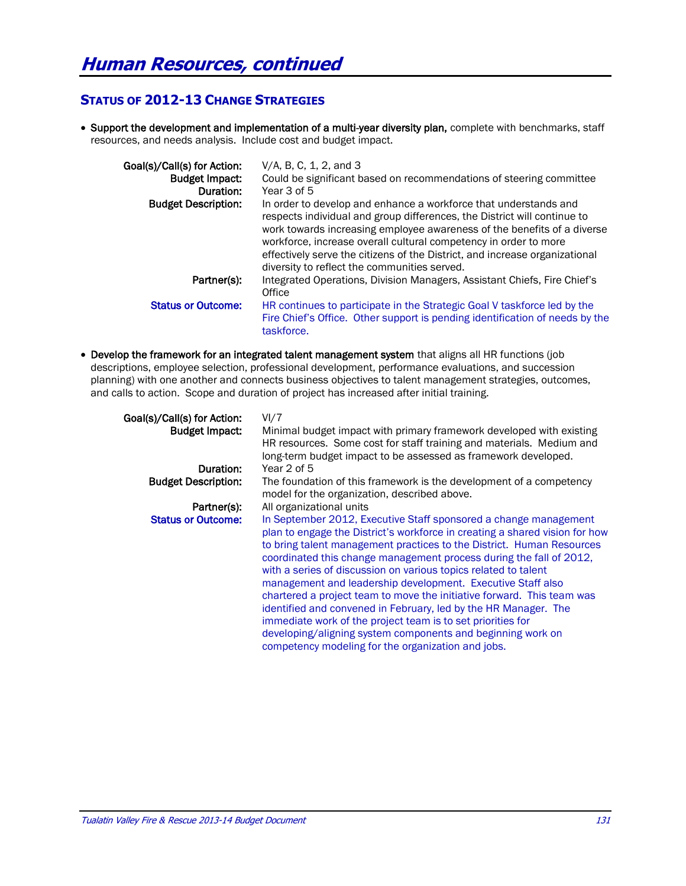## **STATUS OF 2012-13 CHANGE STRATEGIES**

• Support the development and implementation of a multi-year diversity plan, complete with benchmarks, staff resources, and needs analysis. Include cost and budget impact.

| Goal(s)/Call(s) for Action: | V/A, B, C, 1, 2, and 3                                                                                                                                                                                                                                                                                                                                                                                                     |
|-----------------------------|----------------------------------------------------------------------------------------------------------------------------------------------------------------------------------------------------------------------------------------------------------------------------------------------------------------------------------------------------------------------------------------------------------------------------|
| <b>Budget Impact:</b>       | Could be significant based on recommendations of steering committee                                                                                                                                                                                                                                                                                                                                                        |
| Duration:                   | Year 3 of 5                                                                                                                                                                                                                                                                                                                                                                                                                |
| <b>Budget Description:</b>  | In order to develop and enhance a workforce that understands and<br>respects individual and group differences, the District will continue to<br>work towards increasing employee awareness of the benefits of a diverse<br>workforce, increase overall cultural competency in order to more<br>effectively serve the citizens of the District, and increase organizational<br>diversity to reflect the communities served. |
| Partner(s):                 | Integrated Operations, Division Managers, Assistant Chiefs, Fire Chief's<br>Office                                                                                                                                                                                                                                                                                                                                         |
| <b>Status or Outcome:</b>   | HR continues to participate in the Strategic Goal V taskforce led by the<br>Fire Chief's Office. Other support is pending identification of needs by the<br>taskforce.                                                                                                                                                                                                                                                     |

• Develop the framework for an integrated talent management system that aligns all HR functions (job descriptions, employee selection, professional development, performance evaluations, and succession planning) with one another and connects business objectives to talent management strategies, outcomes, and calls to action. Scope and duration of project has increased after initial training.

| Goal(s)/Call(s) for Action: | VI/7                                                                        |
|-----------------------------|-----------------------------------------------------------------------------|
| <b>Budget Impact:</b>       | Minimal budget impact with primary framework developed with existing        |
|                             | HR resources. Some cost for staff training and materials. Medium and        |
|                             | long-term budget impact to be assessed as framework developed.              |
| Duration:                   | Year 2 of 5                                                                 |
| <b>Budget Description:</b>  | The foundation of this framework is the development of a competency         |
|                             | model for the organization, described above.                                |
| Partner(s):                 | All organizational units                                                    |
| <b>Status or Outcome:</b>   | In September 2012, Executive Staff sponsored a change management            |
|                             | plan to engage the District's workforce in creating a shared vision for how |
|                             | to bring talent management practices to the District. Human Resources       |
|                             | coordinated this change management process during the fall of 2012,         |
|                             | with a series of discussion on various topics related to talent             |
|                             | management and leadership development. Executive Staff also                 |
|                             | chartered a project team to move the initiative forward. This team was      |
|                             | identified and convened in February, led by the HR Manager. The             |
|                             | immediate work of the project team is to set priorities for                 |
|                             | developing/aligning system components and beginning work on                 |
|                             | competency modeling for the organization and jobs.                          |
|                             |                                                                             |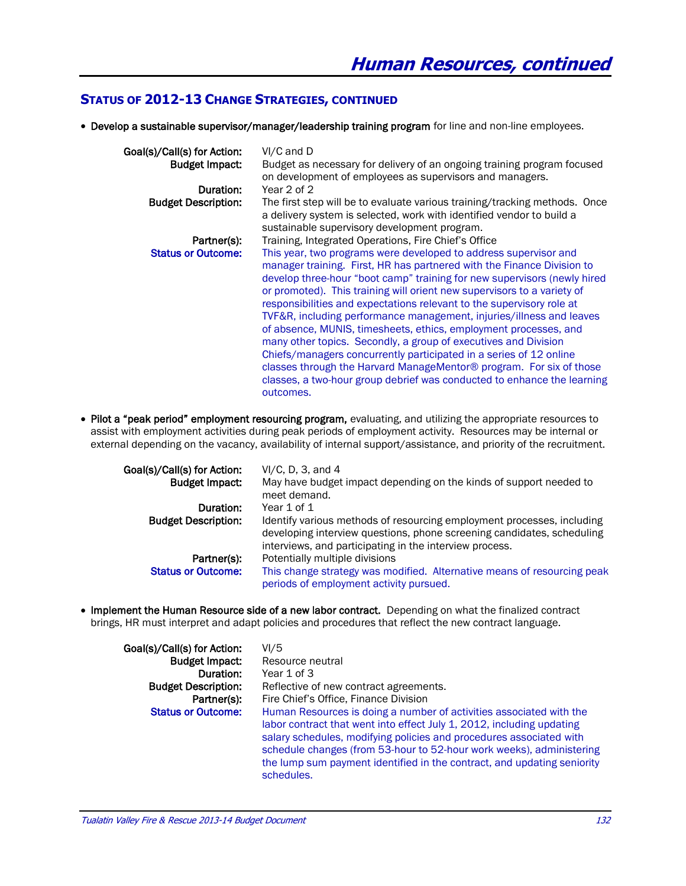#### **STATUS OF 2012-13 CHANGE STRATEGIES, CONTINUED**

Develop a sustainable supervisor/manager/leadership training program for line and non-line employees.

| Goal(s)/Call(s) for Action:<br><b>Budget Impact:</b> | VI/C and D<br>Budget as necessary for delivery of an ongoing training program focused                                                                                                                                                                                                                                                                                                                                                                                                                                                                                                                                                                                                                                                                                                                                          |
|------------------------------------------------------|--------------------------------------------------------------------------------------------------------------------------------------------------------------------------------------------------------------------------------------------------------------------------------------------------------------------------------------------------------------------------------------------------------------------------------------------------------------------------------------------------------------------------------------------------------------------------------------------------------------------------------------------------------------------------------------------------------------------------------------------------------------------------------------------------------------------------------|
| Duration:                                            | on development of employees as supervisors and managers.<br>Year 2 of 2                                                                                                                                                                                                                                                                                                                                                                                                                                                                                                                                                                                                                                                                                                                                                        |
| <b>Budget Description:</b>                           | The first step will be to evaluate various training/tracking methods. Once<br>a delivery system is selected, work with identified vendor to build a<br>sustainable supervisory development program.                                                                                                                                                                                                                                                                                                                                                                                                                                                                                                                                                                                                                            |
| Partner(s):                                          | Training, Integrated Operations, Fire Chief's Office                                                                                                                                                                                                                                                                                                                                                                                                                                                                                                                                                                                                                                                                                                                                                                           |
| <b>Status or Outcome:</b>                            | This year, two programs were developed to address supervisor and<br>manager training. First, HR has partnered with the Finance Division to<br>develop three-hour "boot camp" training for new supervisors (newly hired<br>or promoted). This training will orient new supervisors to a variety of<br>responsibilities and expectations relevant to the supervisory role at<br>TVF&R, including performance management, injuries/illness and leaves<br>of absence, MUNIS, timesheets, ethics, employment processes, and<br>many other topics. Secondly, a group of executives and Division<br>Chiefs/managers concurrently participated in a series of 12 online<br>classes through the Harvard ManageMentor® program. For six of those<br>classes, a two-hour group debrief was conducted to enhance the learning<br>outcomes. |

• Pilot a "peak period" employment resourcing program, evaluating, and utilizing the appropriate resources to assist with employment activities during peak periods of employment activity. Resources may be internal or external depending on the vacancy, availability of internal support/assistance, and priority of the recruitment.

| Goal(s)/Call(s) for Action: | $VI/C$ , D, 3, and 4                                                                                                                                                                                        |
|-----------------------------|-------------------------------------------------------------------------------------------------------------------------------------------------------------------------------------------------------------|
| <b>Budget Impact:</b>       | May have budget impact depending on the kinds of support needed to<br>meet demand.                                                                                                                          |
| Duration:                   | Year 1 of 1                                                                                                                                                                                                 |
| <b>Budget Description:</b>  | Identify various methods of resourcing employment processes, including<br>developing interview questions, phone screening candidates, scheduling<br>interviews, and participating in the interview process. |
| Partner(s):                 | Potentially multiple divisions                                                                                                                                                                              |
| <b>Status or Outcome:</b>   | This change strategy was modified. Alternative means of resourcing peak<br>periods of employment activity pursued.                                                                                          |

• Implement the Human Resource side of a new labor contract. Depending on what the finalized contract brings, HR must interpret and adapt policies and procedures that reflect the new contract language.

| Goal(s)/Call(s) for Action: | VI/5                                                                                                                                                                                                                                                                                                                                                                                 |
|-----------------------------|--------------------------------------------------------------------------------------------------------------------------------------------------------------------------------------------------------------------------------------------------------------------------------------------------------------------------------------------------------------------------------------|
| <b>Budget Impact:</b>       | Resource neutral                                                                                                                                                                                                                                                                                                                                                                     |
| Duration:                   | Year 1 of 3                                                                                                                                                                                                                                                                                                                                                                          |
| <b>Budget Description:</b>  | Reflective of new contract agreements.                                                                                                                                                                                                                                                                                                                                               |
| Partner(s):                 | Fire Chief's Office, Finance Division                                                                                                                                                                                                                                                                                                                                                |
| <b>Status or Outcome:</b>   | Human Resources is doing a number of activities associated with the<br>labor contract that went into effect July 1, 2012, including updating<br>salary schedules, modifying policies and procedures associated with<br>schedule changes (from 53-hour to 52-hour work weeks), administering<br>the lump sum payment identified in the contract, and updating seniority<br>schedules. |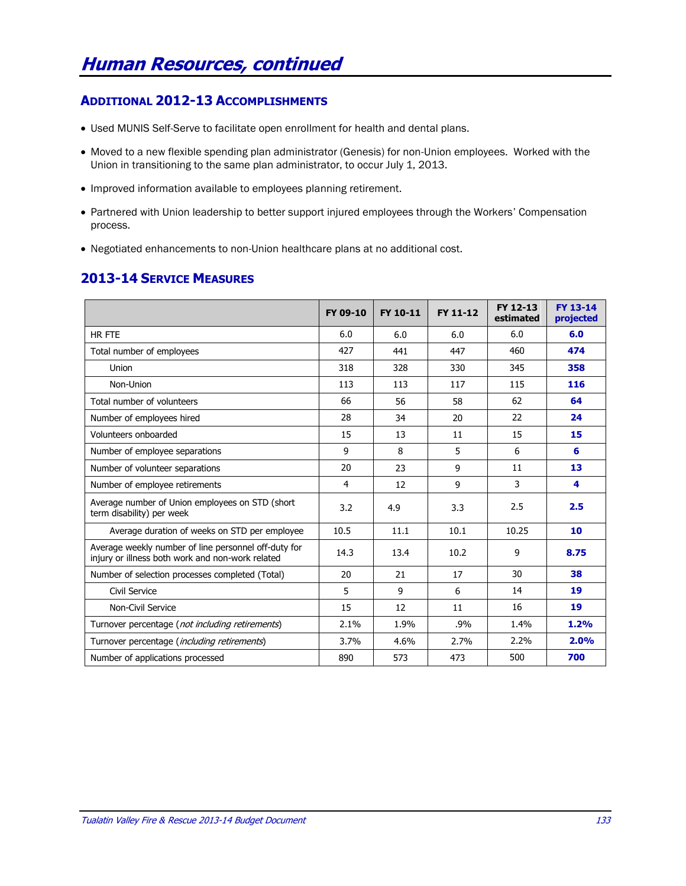## **ADDITIONAL 2012-13 ACCOMPLISHMENTS**

- Used MUNIS Self-Serve to facilitate open enrollment for health and dental plans.
- Moved to a new flexible spending plan administrator (Genesis) for non-Union employees. Worked with the Union in transitioning to the same plan administrator, to occur July 1, 2013.
- Improved information available to employees planning retirement.
- Partnered with Union leadership to better support injured employees through the Workers' Compensation process.
- Negotiated enhancements to non-Union healthcare plans at no additional cost.

## **2013-14 SERVICE MEASURES**

|                                                                                                          | FY 09-10 | FY 10-11 | FY 11-12 | FY 12-13<br>estimated | FY 13-14<br>projected |
|----------------------------------------------------------------------------------------------------------|----------|----------|----------|-----------------------|-----------------------|
| HR FTE                                                                                                   | 6.0      | 6.0      | 6.0      | 6.0                   | 6.0                   |
| Total number of employees                                                                                | 427      | 441      | 447      | 460                   | 474                   |
| Union                                                                                                    | 318      | 328      | 330      | 345                   | 358                   |
| Non-Union                                                                                                | 113      | 113      | 117      | 115                   | 116                   |
| Total number of volunteers                                                                               | 66       | 56       | 58       | 62                    | 64                    |
| Number of employees hired                                                                                | 28       | 34       | 20       | 22                    | 24                    |
| Volunteers onboarded                                                                                     | 15       | 13       | 11       | 15                    | 15                    |
| Number of employee separations                                                                           | 9        | 8        | 5        | 6                     | 6                     |
| Number of volunteer separations                                                                          | 20       | 23       | 9        | 11                    | 13                    |
| Number of employee retirements                                                                           | 4        | 12       | 9        | 3                     | 4                     |
| Average number of Union employees on STD (short<br>term disability) per week                             | 3.2      | 4.9      | 3.3      | 2.5                   | 2.5                   |
| Average duration of weeks on STD per employee                                                            | 10.5     | 11.1     | 10.1     | 10.25                 | 10                    |
| Average weekly number of line personnel off-duty for<br>injury or illness both work and non-work related | 14.3     | 13.4     | 10.2     | 9                     | 8.75                  |
| Number of selection processes completed (Total)                                                          | 20       | 21       | 17       | 30                    | 38                    |
| Civil Service                                                                                            | 5        | 9        | 6        | 14                    | 19                    |
| Non-Civil Service                                                                                        | 15       | 12       | 11       | 16                    | 19                    |
| Turnover percentage (not including retirements)                                                          | 2.1%     | 1.9%     | .9%      | 1.4%                  | 1.2%                  |
| Turnover percentage ( <i>including retirements</i> )                                                     | 3.7%     | 4.6%     | 2.7%     | 2.2%                  | 2.0%                  |
| Number of applications processed                                                                         | 890      | 573      | 473      | 500                   | 700                   |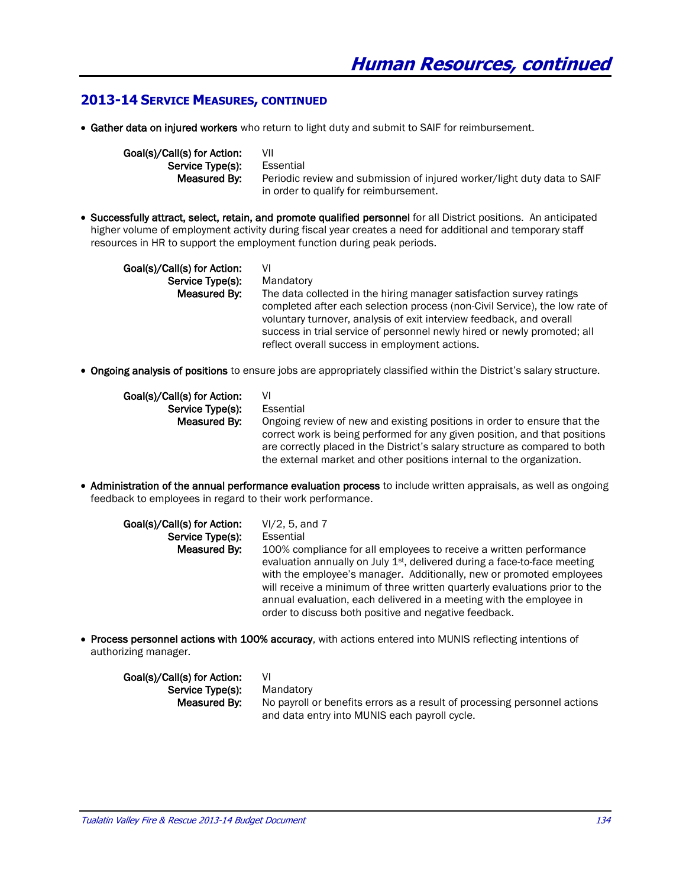#### **2013-14 SERVICE MEASURES, CONTINUED**

Gather data on injured workers who return to light duty and submit to SAIF for reimbursement.

Goal(s)/Call(s) for Action: VII Service Type(s): Essential Measured By: Periodic review and submission of injured worker/light duty data to SAIF in order to qualify for reimbursement.

 Successfully attract, select, retain, and promote qualified personnel for all District positions. An anticipated higher volume of employment activity during fiscal year creates a need for additional and temporary staff resources in HR to support the employment function during peak periods.

Goal(s)/Call(s) for Action: VI Service Type(s): Mandatory Measured By: The data collected in the hiring manager satisfaction survey ratings completed after each selection process (non-Civil Service), the low rate of voluntary turnover, analysis of exit interview feedback, and overall success in trial service of personnel newly hired or newly promoted; all

reflect overall success in employment actions.

Ongoing analysis of positions to ensure jobs are appropriately classified within the District's salary structure.

| Goal(s)/Call(s) for Action: | VI                                                                          |
|-----------------------------|-----------------------------------------------------------------------------|
| Service Type(s):            | Essential                                                                   |
| Measured By:                | Ongoing review of new and existing positions in order to ensure that the    |
|                             | correct work is being performed for any given position, and that positions  |
|                             | are correctly placed in the District's salary structure as compared to both |
|                             | the external market and other positions internal to the organization.       |

• Administration of the annual performance evaluation process to include written appraisals, as well as ongoing feedback to employees in regard to their work performance.

| Goal(s)/Call(s) for Action: | VI/2, 5, and 7                                                                                                                                                                                                                                                                                                                                                                                                                                    |
|-----------------------------|---------------------------------------------------------------------------------------------------------------------------------------------------------------------------------------------------------------------------------------------------------------------------------------------------------------------------------------------------------------------------------------------------------------------------------------------------|
| Service Type(s):            | Essential                                                                                                                                                                                                                                                                                                                                                                                                                                         |
| Measured By:                | 100% compliance for all employees to receive a written performance<br>evaluation annually on July 1 <sup>st</sup> , delivered during a face-to-face meeting<br>with the employee's manager. Additionally, new or promoted employees<br>will receive a minimum of three written quarterly evaluations prior to the<br>annual evaluation, each delivered in a meeting with the employee in<br>order to discuss both positive and negative feedback. |

• Process personnel actions with 100% accuracy, with actions entered into MUNIS reflecting intentions of authorizing manager.

| Goal(s)/Call(s) for Action:                                                               | VI                                            |  |
|-------------------------------------------------------------------------------------------|-----------------------------------------------|--|
| Service Type(s):                                                                          | Mandatory                                     |  |
| No payroll or benefits errors as a result of processing personnel actions<br>Measured By: |                                               |  |
|                                                                                           | and data entry into MUNIS each payroll cycle. |  |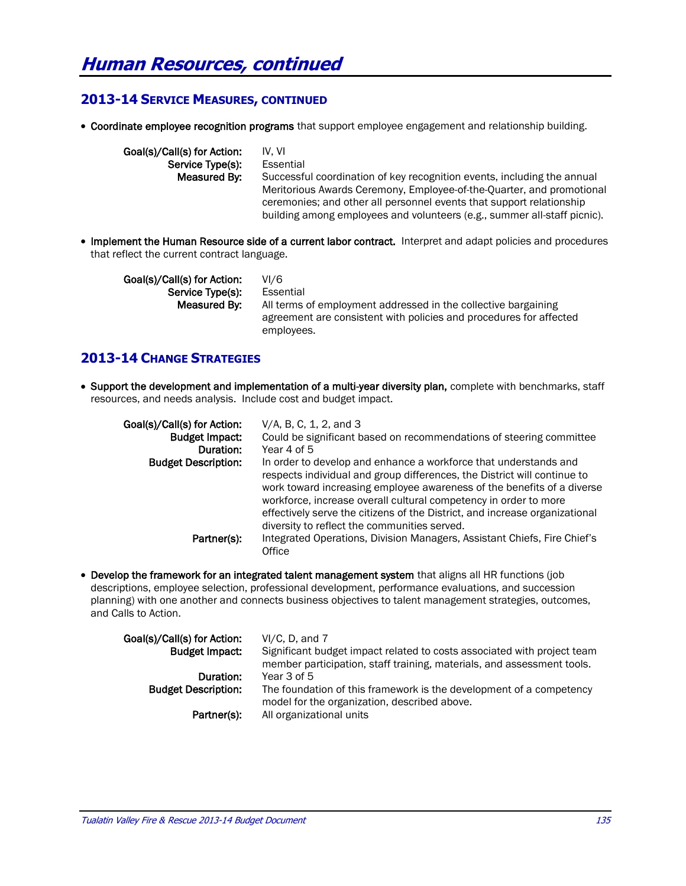### **2013-14 SERVICE MEASURES, CONTINUED**

• Coordinate employee recognition programs that support employee engagement and relationship building.

| Goal(s)/Call(s) for Action: | IV. VI                                                                                                                                                                                                                    |
|-----------------------------|---------------------------------------------------------------------------------------------------------------------------------------------------------------------------------------------------------------------------|
| Service Type(s):            | Essential                                                                                                                                                                                                                 |
| Measured By:                | Successful coordination of key recognition events, including the annual                                                                                                                                                   |
|                             | Meritorious Awards Ceremony, Employee-of-the-Quarter, and promotional<br>ceremonies; and other all personnel events that support relationship<br>building among employees and volunteers (e.g., summer all-staff picnic). |

• Implement the Human Resource side of a current labor contract. Interpret and adapt policies and procedures that reflect the current contract language.

Goal(s)/Call(s) for Action: VI/6 Service Type(s): Essential Measured By: All terms of employment addressed in the collective bargaining agreement are consistent with policies and procedures for affected employees.

## **2013-14 CHANGE STRATEGIES**

• Support the development and implementation of a multi-year diversity plan, complete with benchmarks, staff resources, and needs analysis. Include cost and budget impact.

| Goal(s)/Call(s) for Action:<br><b>Budget Impact:</b><br>Duration: | V/A, B, C, 1, 2, and 3<br>Could be significant based on recommendations of steering committee<br>Year 4 of 5                                                                                                                                                                                                                                                                                                              |
|-------------------------------------------------------------------|---------------------------------------------------------------------------------------------------------------------------------------------------------------------------------------------------------------------------------------------------------------------------------------------------------------------------------------------------------------------------------------------------------------------------|
| <b>Budget Description:</b>                                        | In order to develop and enhance a workforce that understands and<br>respects individual and group differences, the District will continue to<br>work toward increasing employee awareness of the benefits of a diverse<br>workforce, increase overall cultural competency in order to more<br>effectively serve the citizens of the District, and increase organizational<br>diversity to reflect the communities served. |
| Partner(s):                                                       | Integrated Operations, Division Managers, Assistant Chiefs, Fire Chief's<br>Office                                                                                                                                                                                                                                                                                                                                        |

• Develop the framework for an integrated talent management system that aligns all HR functions (job descriptions, employee selection, professional development, performance evaluations, and succession planning) with one another and connects business objectives to talent management strategies, outcomes, and Calls to Action.

| Goal(s)/Call(s) for Action: | $VI/C. D.$ and $7$                                                                                                  |
|-----------------------------|---------------------------------------------------------------------------------------------------------------------|
| <b>Budget Impact:</b>       | Significant budget impact related to costs associated with project team                                             |
|                             | member participation, staff training, materials, and assessment tools.                                              |
| Duration:                   | Year 3 of 5                                                                                                         |
| <b>Budget Description:</b>  | The foundation of this framework is the development of a competency<br>model for the organization, described above. |
| Partner(s):                 | All organizational units                                                                                            |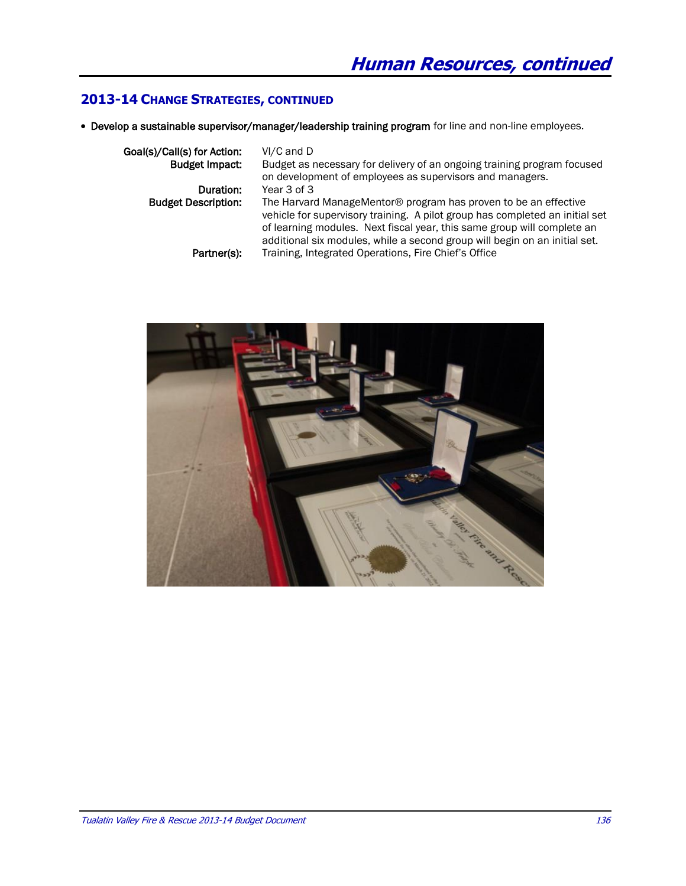## **2013-14 CHANGE STRATEGIES, CONTINUED**

Develop a sustainable supervisor/manager/leadership training program for line and non-line employees.

| Goal(s)/Call(s) for Action: | $VI/C$ and $D$                                                                                                                                                                                                                                                                                           |
|-----------------------------|----------------------------------------------------------------------------------------------------------------------------------------------------------------------------------------------------------------------------------------------------------------------------------------------------------|
| <b>Budget Impact:</b>       | Budget as necessary for delivery of an ongoing training program focused                                                                                                                                                                                                                                  |
|                             | on development of employees as supervisors and managers.                                                                                                                                                                                                                                                 |
| Duration:                   | Year 3 of 3                                                                                                                                                                                                                                                                                              |
| <b>Budget Description:</b>  | The Harvard ManageMentor® program has proven to be an effective<br>vehicle for supervisory training. A pilot group has completed an initial set<br>of learning modules. Next fiscal year, this same group will complete an<br>additional six modules, while a second group will begin on an initial set. |
| Partner(s):                 | Training, Integrated Operations, Fire Chief's Office                                                                                                                                                                                                                                                     |